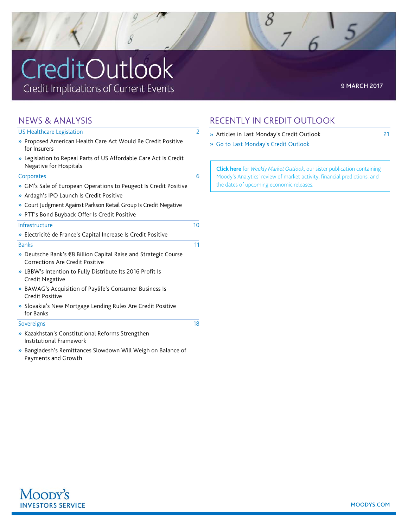# CreditOutlook Credit Implications of Current Events

| <b>NEWS &amp; ANALYSIS</b>                                                                                   |                          |
|--------------------------------------------------------------------------------------------------------------|--------------------------|
| US Healthcare Legislation                                                                                    | $\overline{\phantom{0}}$ |
| » Proposed American Health Care Act Would Be Credit Positive<br>for Insurers                                 |                          |
| » Legislation to Repeal Parts of US Affordable Care Act Is Credit<br><b>Negative for Hospitals</b>           |                          |
| Corporates                                                                                                   | 6                        |
| » GM's Sale of European Operations to Peugeot Is Credit Positive<br>» Ardagh's IPO Launch Is Credit Positive |                          |
| >> Court Judgment Against Parkson Retail Group Is Credit Negative                                            |                          |
| » PTT's Bond Buyback Offer Is Credit Positive                                                                |                          |
| Infrastructure                                                                                               | 10                       |
| » Electricité de France's Capital Increase Is Credit Positive                                                |                          |
| <b>Banks</b>                                                                                                 | 11                       |
| » Deutsche Bank's €8 Billion Capital Raise and Strategic Course<br>Corrections Are Credit Positive           |                          |
| » LBBW's Intention to Fully Distribute Its 2016 Profit Is<br><b>Credit Negative</b>                          |                          |
| » BAWAG's Acquisition of Paylife's Consumer Business Is<br>Credit Positive                                   |                          |
| >> Slovakia's New Mortgage Lending Rules Are Credit Positive<br>for Banks                                    |                          |
| <b>Sovereigns</b>                                                                                            | 18                       |
| » Kazakhstan's Constitutional Reforms Strengthen                                                             |                          |

- [Institutional Framework](#page-17-0)
- » [Bangladesh's Remittances Slowdown Will Weigh on Balance of](#page-18-0)  [Payments and Growth](#page-18-0)

### RECENTLY IN CREDIT OUTLOOK

- » [Articles in Last Monday's Credit Outlook 21](#page-20-0)
- [Go to Last Monday's Credit Outlook](http://www.moodys.com/viewresearchdoc.aspx?docid=PBC_194600)

**[Click here](http://www.moodys.com/wmo)** for *Weekly Market Outlook*, our sister publication containing Moody's Analytics' review of market activity, financial predictions, and the dates of upcoming economic releases.

 $\overline{6}$ 

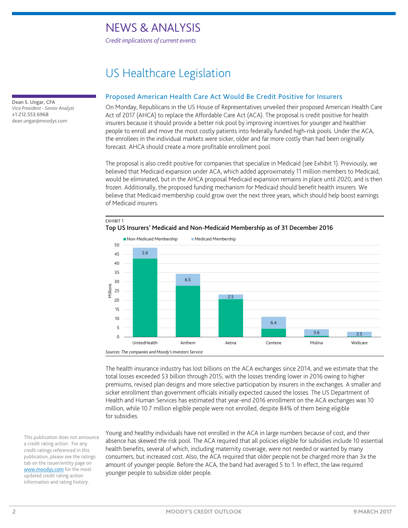*Credit implications of current events*

## US Healthcare Legislation

#### Proposed American Health Care Act Would Be Credit Positive for Insurers

On Monday, Republicans in the US House of Representatives unveiled their proposed American Health Care Act of 2017 (AHCA) to replace the Affordable Care Act (ACA). The proposal is credit positive for health insurers because it should provide a better risk pool by improving incentives for younger and healthier people to enroll and move the most costly patients into federally funded high-risk pools. Under the ACA, the enrollees in the individual markets were sicker, older and far more costly than had been originally forecast. AHCA should create a more profitable enrollment pool.

The proposal is also credit positive for companies that specialize in Medicaid (see Exhibit 1). Previously, we believed that Medicaid expansion under ACA, which added approximately 11 million members to Medicaid, would be eliminated, but in the AHCA proposal Medicaid expansion remains in place until 2020, and is then frozen. Additionally, the proposed funding mechanism for Medicaid should benefit health insurers. We believe that Medicaid membership could grow over the next three years, which should help boost earnings of Medicaid insurers.





The health insurance industry has lost billions on the ACA exchanges since 2014, and we estimate that the total losses exceeded \$3 billion through 2015, with the losses trending lower in 2016 owing to higher premiums, revised plan designs and more selective participation by insurers in the exchanges. A smaller and sicker enrollment than government officials initially expected caused the losses. The US Department of Health and Human Services has estimated that year-end 2016 enrollment on the ACA exchanges was 10 million, while 10.7 million eligible people were not enrolled, despite 84% of them being eligible for subsidies.

Young and healthy individuals have not enrolled in the ACA in large numbers because of cost, and their absence has skewed the risk pool. The ACA required that all policies eligible for subsidies include 10 essential health benefits, several of which, including maternity coverage, were not needed or wanted by many consumers, but increased cost. Also, the ACA required that older people not be charged more than 3x the amount of younger people. Before the ACA, the band had averaged 5 to 1. In effect, the law required younger people to subsidize older people.

<span id="page-1-0"></span>Dean S. Ungar, CFA *Vice President - Senior Analyst* +1.212.553.6968 dean.ungar@moodys.com

> This publication does not announce a credit rating action. For any credit ratings referenced in this publication, please see the ratings tab on the issuer/entity page on [www.moodys.com](http://www.moodys.com/) for the most updated credit rating action information and rating history.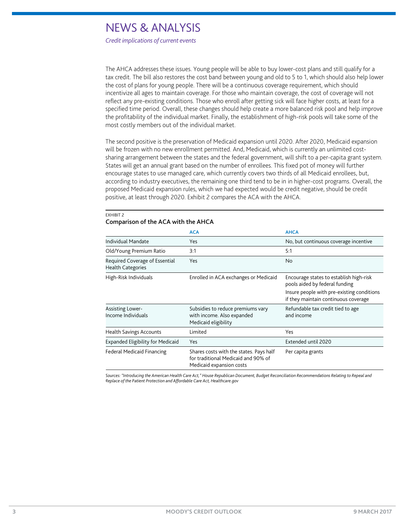*Credit implications of current events*

EXHIBIT 2

The AHCA addresses these issues. Young people will be able to buy lower-cost plans and still qualify for a tax credit. The bill also restores the cost band between young and old to 5 to 1, which should also help lower the cost of plans for young people. There will be a continuous coverage requirement, which should incentivize all ages to maintain coverage. For those who maintain coverage, the cost of coverage will not reflect any pre-existing conditions. Those who enroll after getting sick will face higher costs, at least for a specified time period. Overall, these changes should help create a more balanced risk pool and help improve the profitability of the individual market. Finally, the establishment of high-risk pools will take some of the most costly members out of the individual market.

The second positive is the preservation of Medicaid expansion until 2020. After 2020, Medicaid expansion will be frozen with no new enrollment permitted. And, Medicaid, which is currently an unlimited costsharing arrangement between the states and the federal government, will shift to a per-capita grant system. States will get an annual grant based on the number of enrollees. This fixed pot of money will further encourage states to use managed care, which currently covers two thirds of all Medicaid enrollees, but, according to industry executives, the remaining one third tend to be in in higher-cost programs. Overall, the proposed Medicaid expansion rules, which we had expected would be credit negative, should be credit positive, at least through 2020. Exhibit 2 compares the ACA with the AHCA.

| Comparison of the ACA with the AHCA                        |                                                                                                            |                                                                                                                                                                 |  |  |  |  |
|------------------------------------------------------------|------------------------------------------------------------------------------------------------------------|-----------------------------------------------------------------------------------------------------------------------------------------------------------------|--|--|--|--|
|                                                            | <b>ACA</b>                                                                                                 | <b>AHCA</b>                                                                                                                                                     |  |  |  |  |
| <b>Individual Mandate</b>                                  | Yes                                                                                                        | No, but continuous coverage incentive                                                                                                                           |  |  |  |  |
| Old/Young Premium Ratio                                    | 3:1                                                                                                        | 5:1                                                                                                                                                             |  |  |  |  |
| Required Coverage of Essential<br><b>Health Categories</b> | Yes                                                                                                        | No                                                                                                                                                              |  |  |  |  |
| High-Risk Individuals                                      | Enrolled in ACA exchanges or Medicaid                                                                      | Encourage states to establish high-risk<br>pools aided by federal funding<br>Insure people with pre-existing conditions<br>if they maintain continuous coverage |  |  |  |  |
| <b>Assisting Lower-</b><br>Income Individuals              | Subsidies to reduce premiums vary<br>with income. Also expanded<br>Medicaid eligibility                    | Refundable tax credit tied to age<br>and income                                                                                                                 |  |  |  |  |
| <b>Health Savings Accounts</b>                             | Limited                                                                                                    | Yes                                                                                                                                                             |  |  |  |  |
| <b>Expanded Eligibility for Medicaid</b>                   | Yes                                                                                                        | Extended until 2020                                                                                                                                             |  |  |  |  |
| <b>Federal Medicaid Financing</b>                          | Shares costs with the states. Pays half<br>for traditional Medicaid and 90% of<br>Medicaid expansion costs | Per capita grants                                                                                                                                               |  |  |  |  |

*Sources: "Introducing the American Health Care Act," House Republican Document, Budget Reconciliation Recommendations Relating to Repeal and Replace of the Patient Protection and Affordable Care Act, Healthcare.gov*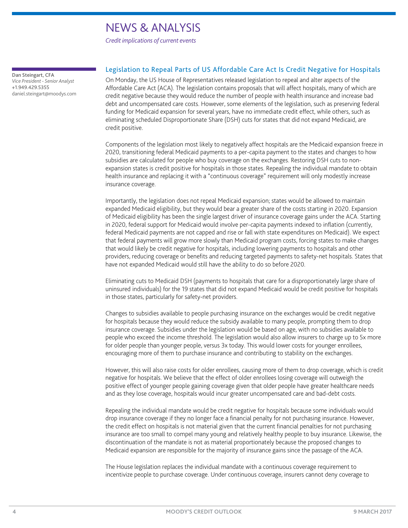*Credit implications of current events*

<span id="page-3-0"></span>Dan Steingart, CFA *Vice President - Senior Analyst* +1.949.429.5355 daniel.steingart@moodys.com

#### Legislation to Repeal Parts of US Affordable Care Act Is Credit Negative for Hospitals

On Monday, the US House of Representatives released legislation to repeal and alter aspects of the Affordable Care Act (ACA). The legislation contains proposals that will affect hospitals, many of which are credit negative because they would reduce the number of people with health insurance and increase bad debt and uncompensated care costs. However, some elements of the legislation, such as preserving federal funding for Medicaid expansion for several years, have no immediate credit effect, while others, such as eliminating scheduled Disproportionate Share (DSH) cuts for states that did not expand Medicaid, are credit positive.

Components of the legislation most likely to negatively affect hospitals are the Medicaid expansion freeze in 2020, transitioning federal Medicaid payments to a per-capita payment to the states and changes to how subsidies are calculated for people who buy coverage on the exchanges. Restoring DSH cuts to nonexpansion states is credit positive for hospitals in those states. Repealing the individual mandate to obtain health insurance and replacing it with a "continuous coverage" requirement will only modestly increase insurance coverage.

Importantly, the legislation does not repeal Medicaid expansion; states would be allowed to maintain expanded Medicaid eligibility, but they would bear a greater share of the costs starting in 2020. Expansion of Medicaid eligibility has been the single largest driver of insurance coverage gains under the ACA. Starting in 2020, federal support for Medicaid would involve per-capita payments indexed to inflation (currently, federal Medicaid payments are not capped and rise or fall with state expenditures on Medicaid). We expect that federal payments will grow more slowly than Medicaid program costs, forcing states to make changes that would likely be credit negative for hospitals, including lowering payments to hospitals and other providers, reducing coverage or benefits and reducing targeted payments to safety-net hospitals. States that have not expanded Medicaid would still have the ability to do so before 2020.

Eliminating cuts to Medicaid DSH (payments to hospitals that care for a disproportionately large share of uninsured individuals) for the 19 states that did not expand Medicaid would be credit positive for hospitals in those states, particularly for safety-net providers.

Changes to subsidies available to people purchasing insurance on the exchanges would be credit negative for hospitals because they would reduce the subsidy available to many people, prompting them to drop insurance coverage. Subsidies under the legislation would be based on age, with no subsidies available to people who exceed the income threshold. The legislation would also allow insurers to charge up to 5x more for older people than younger people, versus 3x today. This would lower costs for younger enrollees, encouraging more of them to purchase insurance and contributing to stability on the exchanges.

However, this will also raise costs for older enrollees, causing more of them to drop coverage, which is credit negative for hospitals. We believe that the effect of older enrollees losing coverage will outweigh the positive effect of younger people gaining coverage given that older people have greater healthcare needs and as they lose coverage, hospitals would incur greater uncompensated care and bad-debt costs.

Repealing the individual mandate would be credit negative for hospitals because some individuals would drop insurance coverage if they no longer face a financial penalty for not purchasing insurance. However, the credit effect on hospitals is not material given that the current financial penalties for not purchasing insurance are too small to compel many young and relatively healthy people to buy insurance. Likewise, the discontinuation of the mandate is not as material proportionately because the proposed changes to Medicaid expansion are responsible for the majority of insurance gains since the passage of the ACA.

The House legislation replaces the individual mandate with a continuous coverage requirement to incentivize people to purchase coverage. Under continuous coverage, insurers cannot deny coverage to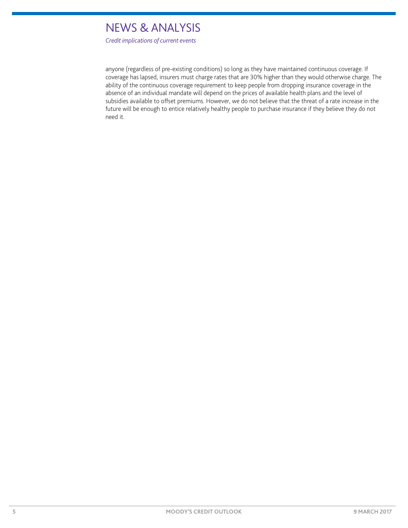*Credit implications of current events*

anyone (regardless of pre-existing conditions) so long as they have maintained continuous coverage. If coverage has lapsed, insurers must charge rates that are 30% higher than they would otherwise charge. The ability of the continuous coverage requirement to keep people from dropping insurance coverage in the absence of an individual mandate will depend on the prices of available health plans and the level of subsidies available to offset premiums. However, we do not believe that the threat of a rate increase in the future will be enough to entice relatively healthy people to purchase insurance if they believe they do not need it.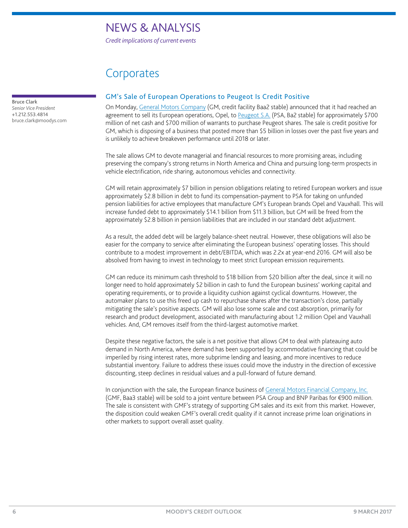*Credit implications of current events*

### **Corporates**

<span id="page-5-0"></span>Bruce Clark *Senior Vice President* +1.212.553.4814 bruce.clark@moodys.com

#### GM's Sale of European Operations to Peugeot Is Credit Positive

On Monday, [General Motors Company](https://www.moodys.com/credit-ratings/General-Motors-Company-credit-rating-822159239) (GM, credit facility Baa2 stable) announced that it had reached an agreement to sell its European operations, Opel, to [Peugeot S.A.](https://www.moodys.com/credit-ratings/Peugeot-SA-credit-rating-2586) (PSA, Ba2 stable) for approximately \$700 million of net cash and \$700 million of warrants to purchase Peugeot shares. The sale is credit positive for GM, which is disposing of a business that posted more than \$5 billion in losses over the past five years and is unlikely to achieve breakeven performance until 2018 or later.

The sale allows GM to devote managerial and financial resources to more promising areas, including preserving the company's strong returns in North America and China and pursuing long-term prospects in vehicle electrification, ride sharing, autonomous vehicles and connectivity.

GM will retain approximately \$7 billion in pension obligations relating to retired European workers and issue approximately \$2.8 billion in debt to fund its compensation-payment to PSA for taking on unfunded pension liabilities for active employees that manufacture GM's European brands Opel and Vauxhall. This will increase funded debt to approximately \$14.1 billion from \$11.3 billion, but GM will be freed from the approximately \$2.8 billion in pension liabilities that are included in our standard debt adjustment.

As a result, the added debt will be largely balance-sheet neutral. However, these obligations will also be easier for the company to service after eliminating the European business' operating losses. This should contribute to a modest improvement in debt/EBITDA, which was 2.2x at year-end 2016. GM will also be absolved from having to invest in technology to meet strict European emission requirements.

GM can reduce its minimum cash threshold to \$18 billion from \$20 billion after the deal, since it will no longer need to hold approximately \$2 billion in cash to fund the European business' working capital and operating requirements, or to provide a liquidity cushion against cyclical downturns. However, the automaker plans to use this freed up cash to repurchase shares after the transaction's close, partially mitigating the sale's positive aspects. GM will also lose some scale and cost absorption, primarily for research and product development, associated with manufacturing about 1.2 million Opel and Vauxhall vehicles. And, GM removes itself from the third-largest automotive market.

Despite these negative factors, the sale is a net positive that allows GM to deal with plateauing auto demand in North America, where demand has been supported by accommodative financing that could be imperiled by rising interest rates, more subprime lending and leasing, and more incentives to reduce substantial inventory. Failure to address these issues could move the industry in the direction of excessive discounting, steep declines in residual values and a pull-forward of future demand.

In conjunction with the sale, the European finance business o[f General Motors Financial Company, Inc.](https://www.moodys.com/credit-ratings/General-Motors-Financial-Company-Inc-credit-rating-600022469) (GMF, Baa3 stable) will be sold to a joint venture between PSA Group and BNP Paribas for €900 million. The sale is consistent with GMF's strategy of supporting GM sales and its exit from this market. However, the disposition could weaken GMF's overall credit quality if it cannot increase prime loan originations in other markets to support overall asset quality.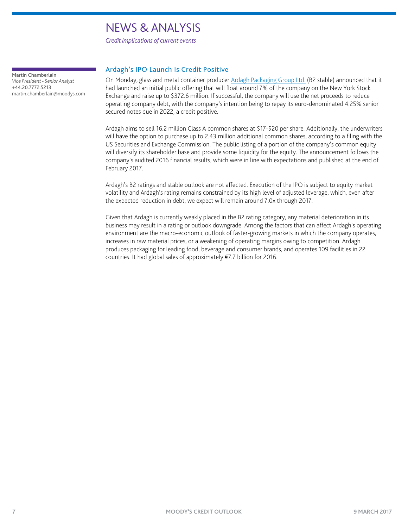*Credit implications of current events*

<span id="page-6-0"></span>Martin Chamberlain *Vice President - Senior Analyst* +44.20.7772.5213 martin.chamberlain@moodys.com

#### Ardagh's IPO Launch Is Credit Positive

On Monday, glass and metal container producer [Ardagh Packaging Group Ltd.](https://www.moodys.com/credit-ratings/Ardagh-Packaging-Group-Ltd-credit-rating-808141750) (B2 stable) announced that it had launched an initial public offering that will float around 7% of the company on the New York Stock Exchange and raise up to \$372.6 million. If successful, the company will use the net proceeds to reduce operating company debt, with the company's intention being to repay its euro-denominated 4.25% senior secured notes due in 2022, a credit positive.

Ardagh aims to sell 16.2 million Class A common shares at \$17-\$20 per share. Additionally, the underwriters will have the option to purchase up to 2.43 million additional common shares, according to a filing with the US Securities and Exchange Commission. The public listing of a portion of the company's common equity will diversify its shareholder base and provide some liquidity for the equity. The announcement follows the company's audited 2016 financial results, which were in line with expectations and published at the end of February 2017.

Ardagh's B2 ratings and stable outlook are not affected. Execution of the IPO is subject to equity market volatility and Ardagh's rating remains constrained by its high level of adjusted leverage, which, even after the expected reduction in debt, we expect will remain around 7.0x through 2017.

Given that Ardagh is currently weakly placed in the B2 rating category, any material deterioration in its business may result in a rating or outlook downgrade. Among the factors that can affect Ardagh's operating environment are the macro-economic outlook of faster-growing markets in which the company operates, increases in raw material prices, or a weakening of operating margins owing to competition. Ardagh produces packaging for leading food, beverage and consumer brands, and operates 109 facilities in 22 countries. It had global sales of approximately €7.7 billion for 2016.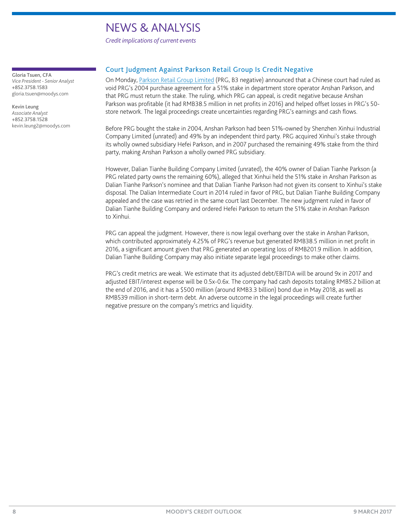*Credit implications of current events*

<span id="page-7-0"></span>Gloria Tsuen, CFA

*Vice President - Senior Analyst* +852.3758.1583 gloria.tsuen@moodys.com

Kevin Leung *Associate Analyst* +852.3758.1528 kevin.leung2@moodys.com

#### Court Judgment Against Parkson Retail Group Is Credit Negative

On Monday, [Parkson Retail Group Limited](https://www.moodys.com/credit-ratings/Parkson-Retail-Group-Limited-credit-rating-809620979) (PRG, B3 negative) announced that a Chinese court had ruled as void PRG's 2004 purchase agreement for a 51% stake in department store operator Anshan Parkson, and that PRG must return the stake. The ruling, which PRG can appeal, is credit negative because Anshan Parkson was profitable (it had RMB38.5 million in net profits in 2016) and helped offset losses in PRG's 50 store network. The legal proceedings create uncertainties regarding PRG's earnings and cash flows.

Before PRG bought the stake in 2004, Anshan Parkson had been 51%-owned by Shenzhen Xinhui Industrial Company Limited (unrated) and 49% by an independent third party. PRG acquired Xinhui's stake through its wholly owned subsidiary Hefei Parkson, and in 2007 purchased the remaining 49% stake from the third party, making Anshan Parkson a wholly owned PRG subsidiary.

However, Dalian Tianhe Building Company Limited (unrated), the 40% owner of Dalian Tianhe Parkson (a PRG related party owns the remaining 60%), alleged that Xinhui held the 51% stake in Anshan Parkson as Dalian Tianhe Parkson's nominee and that Dalian Tianhe Parkson had not given its consent to Xinhui's stake disposal. The Dalian Intermediate Court in 2014 ruled in favor of PRG, but Dalian Tianhe Building Company appealed and the case was retried in the same court last December. The new judgment ruled in favor of Dalian Tianhe Building Company and ordered Hefei Parkson to return the 51% stake in Anshan Parkson to Xinhui.

PRG can appeal the judgment. However, there is now legal overhang over the stake in Anshan Parkson, which contributed approximately 4.25% of PRG's revenue but generated RMB38.5 million in net profit in 2016, a significant amount given that PRG generated an operating loss of RMB201.9 million. In addition, Dalian Tianhe Building Company may also initiate separate legal proceedings to make other claims.

PRG's credit metrics are weak. We estimate that its adjusted debt/EBITDA will be around 9x in 2017 and adjusted EBIT/interest expense will be 0.5x-0.6x. The company had cash deposits totaling RMB5.2 billion at the end of 2016, and it has a \$500 million (around RMB3.3 billion) bond due in May 2018, as well as RMB539 million in short-term debt. An adverse outcome in the legal proceedings will create further negative pressure on the company's metrics and liquidity.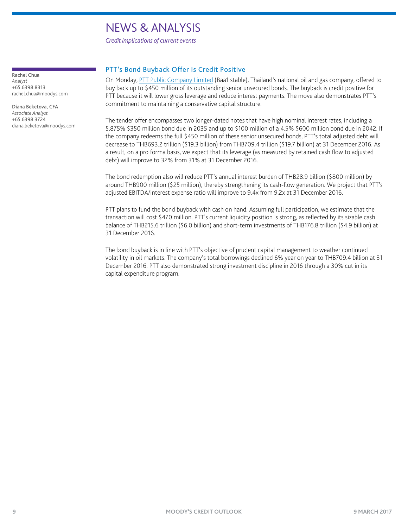*Credit implications of current events*

<span id="page-8-0"></span>Rachel Chua *Analyst* +65.6398.8313 rachel.chua@moodys.com

Diana Beketova, CFA *Associate Analyst* +65.6398.3724 diana.beketova@moodys.com

#### PTT's Bond Buyback Offer Is Credit Positive

On Monday, [PTT Public Company Limited](https://www.moodys.com/credit-ratings/PTT-Public-Company-Limited-credit-rating-806796578) (Baa1 stable), Thailand's national oil and gas company, offered to buy back up to \$450 million of its outstanding senior unsecured bonds. The buyback is credit positive for PTT because it will lower gross leverage and reduce interest payments. The move also demonstrates PTT's commitment to maintaining a conservative capital structure.

The tender offer encompasses two longer-dated notes that have high nominal interest rates, including a 5.875% \$350 million bond due in 2035 and up to \$100 million of a 4.5% \$600 million bond due in 2042. If the company redeems the full \$450 million of these senior unsecured bonds, PTT's total adjusted debt will decrease to THB693.2 trillion (\$19.3 billion) from THB709.4 trillion (\$19.7 billion) at 31 December 2016. As a result, on a pro forma basis, we expect that its leverage (as measured by retained cash flow to adjusted debt) will improve to 32% from 31% at 31 December 2016.

The bond redemption also will reduce PTT's annual interest burden of THB28.9 billion (\$800 million) by around THB900 million (\$25 million), thereby strengthening its cash-flow generation. We project that PTT's adjusted EBITDA/interest expense ratio will improve to 9.4x from 9.2x at 31 December 2016.

PTT plans to fund the bond buyback with cash on hand. Assuming full participation, we estimate that the transaction will cost \$470 million. PTT's current liquidity position is strong, as reflected by its sizable cash balance of THB215.6 trillion (\$6.0 billion) and short-term investments of THB176.8 trillion (\$4.9 billion) at 31 December 2016.

The bond buyback is in line with PTT's objective of prudent capital management to weather continued volatility in oil markets. The company's total borrowings declined 6% year on year to THB709.4 billion at 31 December 2016. PTT also demonstrated strong investment discipline in 2016 through a 30% cut in its capital expenditure program.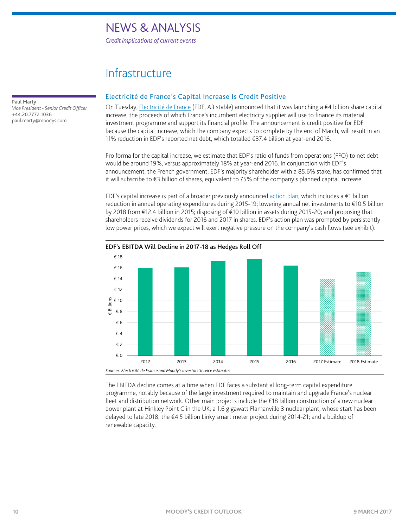*Credit implications of current events*

### Infrastructure

<span id="page-9-0"></span>Paul Marty *Vice President - Senior Credit Officer* +44.20.7772.1036 paul.marty@moodys.com

#### Electricité de France's Capital Increase Is Credit Positive

On Tuesday, [Electricité de France](https://www.moodys.com/credit-ratings/Electricite-de-France-credit-rating-260000) (EDF, A3 stable) announced that it was launching a €4 billion share capital increase, the proceeds of which France's incumbent electricity supplier will use to finance its material investment programme and support its financial profile. The announcement is credit positive for EDF because the capital increase, which the company expects to complete by the end of March, will result in an 11% reduction in EDF's reported net debt, which totalled €37.4 billion at year-end 2016.

Pro forma for the capital increase, we estimate that EDF's ratio of funds from operations (FFO) to net debt would be around 19%, versus approximately 18% at year-end 2016. In conjunction with EDF's announcement, the French government, EDF's majority shareholder with a 85.6% stake, has confirmed that it will subscribe to €3 billion of shares, equivalent to 75% of the company's planned capital increase.

EDF's capital increase is part of a broader previously announced [action plan,](http://www.moodys.com/viewresearchdoc.aspx?docid=PBC_1031263) which includes a €1 billion reduction in annual operating expenditures during 2015-19; lowering annual net investments to €10.5 billion by 2018 from €12.4 billion in 2015; disposing of €10 billion in assets during 2015-20; and proposing that shareholders receive dividends for 2016 and 2017 in shares. EDF's action plan was prompted by persistently low power prices, which we expect will exert negative pressure on the company's cash flows (see exhibit).



#### EDF's EBITDA Will Decline in 2017-18 as Hedges Roll Off

The EBITDA decline comes at a time when EDF faces a substantial long-term capital expenditure programme, notably because of the large investment required to maintain and upgrade France's nuclear fleet and distribution network. Other main projects include the £18 billion construction of a new nuclear power plant at Hinkley Point C in the UK; a 1.6 gigawatt Flamanville 3 nuclear plant, whose start has been delayed to late 2018; the €4.5 billion Linky smart meter project during 2014-21; and a buildup of renewable capacity.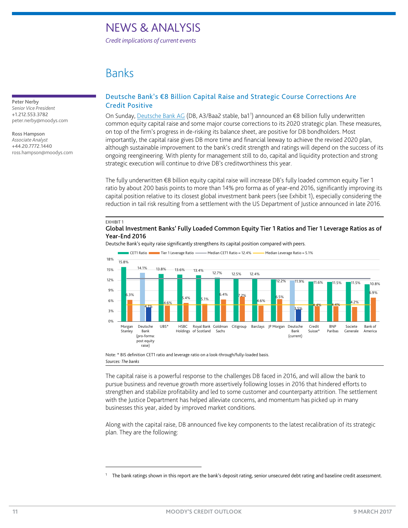*Credit implications of current events*

### Banks

<span id="page-10-0"></span>Peter Nerby *Senior Vice President* +1.212.553.3782 peter.nerby@moodys.com

#### Ross Hampson

*Associate Analyst* +44.20.7772.1440 ross.hampson@moodys.com

#### Deutsche Bank's €8 Billion Capital Raise and Strategic Course Corrections Are Credit Positive

On Sunday, [Deutsche Bank AG](https://www.moodys.com/credit-ratings/Deutsche-Bank-AG-credit-rating-232500) (DB, A3/Baa2 stable, ba[1](#page-10-1)<sup>1</sup>) announced an €8 billion fully underwritten common equity capital raise and some major course corrections to its 2020 strategic plan. These measures, on top of the firm's progress in de-risking its balance sheet, are positive for DB bondholders. Most importantly, the capital raise gives DB more time and financial leeway to achieve the revised 2020 plan, although sustainable improvement to the bank's credit strength and ratings will depend on the success of its ongoing reengineering. With plenty for management still to do, capital and liquidity protection and strong strategic execution will continue to drive DB's creditworthiness this year.

The fully underwritten €8 billion equity capital raise will increase DB's fully loaded common equity Tier 1 ratio by about 200 basis points to more than 14% pro forma as of year-end 2016, significantly improving its capital position relative to its closest global investment bank peers (see Exhibit 1), especially considering the reduction in tail risk resulting from a settlement with the US Department of Justice announced in late 2016.

#### EXHIBIT 1

l

#### Global Investment Banks' Fully Loaded Common Equity Tier 1 Ratios and Tier 1 Leverage Ratios as of Year-End 2016

Deutsche Bank's equity raise significantly strengthens its capital position compared with peers.



Note: \* BIS definition CET1 ratio and leverage ratio on a look-through/fully-loaded basis. *Sources: The banks*

The capital raise is a powerful response to the challenges DB faced in 2016, and will allow the bank to pursue business and revenue growth more assertively following losses in 2016 that hindered efforts to strengthen and stabilize profitability and led to some customer and counterparty attrition. The settlement with the Justice Department has helped alleviate concerns, and momentum has picked up in many businesses this year, aided by improved market conditions.

Along with the capital raise, DB announced five key components to the latest recalibration of its strategic plan. They are the following:

<span id="page-10-1"></span><sup>&</sup>lt;sup>1</sup> The bank ratings shown in this report are the bank's deposit rating, senior unsecured debt rating and baseline credit assessment.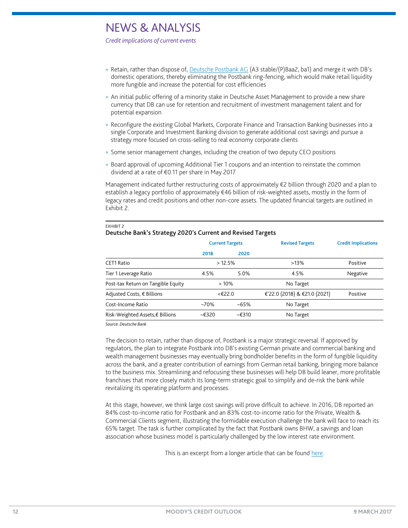*Credit implications of current events*

- » Retain, rather than dispose of, [Deutsche Postbank AG](https://www.moodys.com/credit-ratings/Deutsche-Postbank-AG-credit-rating-600048696) (A3 stable/(P)Baa2, ba1) and merge it with DB's domestic operations, thereby eliminating the Postbank ring-fencing, which would make retail liquidity more fungible and increase the potential for cost efficiencies
- » An initial public offering of a minority stake in Deutsche Asset Management to provide a new share currency that DB can use for retention and recruitment of investment management talent and for potential expansion
- » Reconfigure the existing Global Markets, Corporate Finance and Transaction Banking businesses into a single Corporate and Investment Banking division to generate additional cost savings and pursue a strategy more focused on cross-selling to real economy corporate clients
- » Some senior management changes, including the creation of two deputy CEO positions
- » Board approval of upcoming Additional Tier 1 coupons and an intention to reinstate the common dividend at a rate of €0.11 per share in May 2017

Management indicated further restructuring costs of approximately €2 billion through 2020 and a plan to establish a legacy portfolio of approximately €46 billion of risk-weighted assets, mostly in the form of legacy rates and credit positions and other non-core assets. The updated financial targets are outlined in Exhibit 2.

|                                    | <b>Current Targets</b> |          | <b>Revised Targets</b>       | <b>Credit Implications</b> |
|------------------------------------|------------------------|----------|------------------------------|----------------------------|
|                                    | 2018                   | 2020     |                              |                            |
| CET1 Ratio                         | >12.5%                 |          | $>13\%$                      | Positive                   |
| Tier 1 Leverage Ratio              | 4.5%                   | 5.0%     | 4.5%                         | Negative                   |
| Post-tax Return on Tangible Equity | >10%                   |          | No Target                    |                            |
| Adjusted Costs, € Billions         | <€22.0                 |          | €'22.0 (2018) & €21.0 (2021) | Positive                   |
| Cost-Income Ratio                  | $-70\%$                | $~165\%$ | No Target                    |                            |
| Risk-Weighted Assets,€ Billions    | $-E320$                | ~5.6310  | No Target                    |                            |

#### EXHIBIT 2 Deutsche Bank's Strategy 2020's Current and Revised Targets

*Source: Deutsche Bank*

The decision to retain, rather than dispose of, Postbank is a major strategic reversal. If approved by regulators, the plan to integrate Postbank into DB's existing German private and commercial banking and wealth management businesses may eventually bring bondholder benefits in the form of fungible liquidity across the bank, and a greater contribution of earnings from German retail banking, bringing more balance to the business mix. Streamlining and refocusing these businesses will help DB build leaner, more profitable franchises that more closely match its long-term strategic goal to simplify and de-risk the bank while revitalizing its operating platform and processes.

At this stage, however, we think large cost savings will prove difficult to achieve. In 2016, DB reported an 84% cost-to-income ratio for Postbank and an 83% cost-to-income ratio for the Private, Wealth & Commercial Clients segment, illustrating the formidable execution challenge the bank will face to reach its 65% target. The task is further complicated by the fact that Postbank owns BHW, a savings and loan association whose business model is particularly challenged by the low interest rate environment.

This is an excerpt from a longer article that can be foun[d here.](http://www.moodys.com/viewresearchdoc.aspx?docid=PBM_1062377)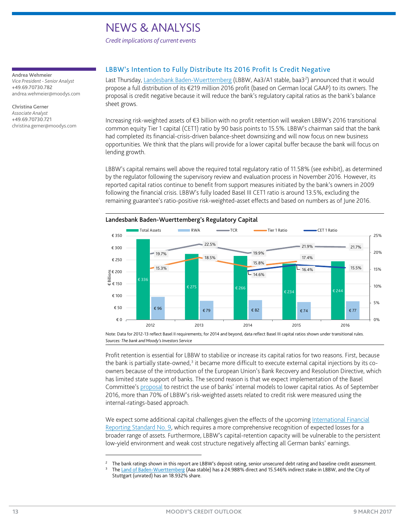*Credit implications of current events*

#### <span id="page-12-0"></span>Andrea Wehmeier

*Vice President - Senior Analyst* +49.69.70730.782 andrea.wehmeier@moodys.com

Christina Gerner *Associate Analyst* +49.69.70730.721 christina.gerner@moodys.com

#### LBBW's Intention to Fully Distribute Its 2016 Profit Is Credit Negative

Last Thursday, <u>Landesbank Baden-Wuerttemberg</u> (LBBW, Aa3/A1 stable, baa3<sup>[2](#page-12-1)</sup>) announced that it would propose a full distribution of its €219 million 2016 profit (based on German local GAAP) to its owners. The proposal is credit negative because it will reduce the bank's regulatory capital ratios as the bank's balance sheet grows.

Increasing risk-weighted assets of €3 billion with no profit retention will weaken LBBW's 2016 transitional common equity Tier 1 capital (CET1) ratio by 90 basis points to 15.5%. LBBW's chairman said that the bank had completed its financial-crisis-driven balance-sheet downsizing and will now focus on new business opportunities. We think that the plans will provide for a lower capital buffer because the bank will focus on lending growth.

LBBW's capital remains well above the required total regulatory ratio of 11.58% (see exhibit), as determined by the regulator following the supervisory review and evaluation process in November 2016. However, its reported capital ratios continue to benefit from support measures initiated by the bank's owners in 2009 following the financial crisis. LBBW's fully loaded Basel III CET1 ratio is around 13.5%, excluding the remaining guarantee's ratio-positive risk-weighted-asset effects and based on numbers as of June 2016.



#### Landesbank Baden-Wuerttemberg's Regulatory Capital

Note: Data for 2012-13 reflect Basel II requirements; for 2014 and beyond, data reflect Basel III capital ratios shown under transitional rules. *Sources: The bank and Moody's Investors Service*

Profit retention is essential for LBBW to stabilize or increase its capital ratios for two reasons. First, because the bank is partially state-owned, $3$  it became more difficult to execute external capital injections by its coowners because of the introduction of the European Union's Bank Recovery and Resolution Directive, which has limited state support of banks. The second reason is that we expect implementation of the Basel Committee's [proposal](http://www.moodys.com/viewresearchdoc.aspx?docid=PBC_1021389) to restrict the use of banks' internal models to lower capital ratios. As of September 2016, more than 70% of LBBW's risk-weighted assets related to credit risk were measured using the internal-ratings-based approach.

We expect some additional capital challenges given the effects of the upcoming [International Financial](http://www.moodys.com/viewresearchdoc.aspx?docid=PBC_1051028)  [Reporting Standard No. 9,](http://www.moodys.com/viewresearchdoc.aspx?docid=PBC_1051028) which requires a more comprehensive recognition of expected losses for a broader range of assets. Furthermore, LBBW's capital-retention capacity will be vulnerable to the persistent low-yield environment and weak cost structure negatively affecting all German banks' earnings.

l

<sup>2</sup> The bank ratings shown in this report are LBBW's deposit rating, senior unsecured debt rating and baseline credit assessment.

<span id="page-12-2"></span><span id="page-12-1"></span><sup>3</sup> Th[e Land of Baden-Wuerttemberg](https://www.moodys.com/credit-ratings/Baden-Wuerttemberg-Land-of-credit-rating-774250) (Aaa stable) has a 24.988% direct and 15.546% indirect stake in LBBW, and the City of Stuttgart (unrated) has an 18.932% share.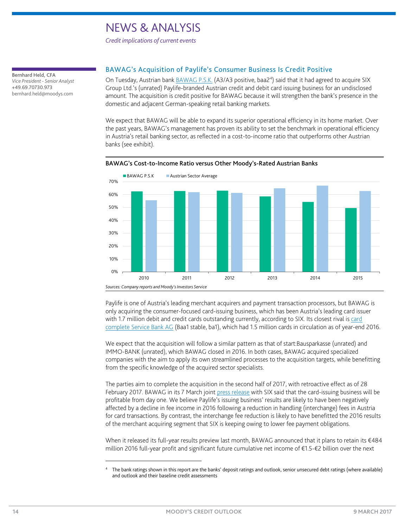*Credit implications of current events*

<span id="page-13-0"></span>Bernhard Held, CFA *Vice President - Senior Analyst* +49.69.70730.973 bernhard.held@moodys.com

#### BAWAG's Acquisition of Paylife's Consumer Business Is Credit Positive

On Tuesday, Austrian bank **BAWAG P.S.K.** (A3/A3 positive, baa2<sup>[4](#page-13-1)</sup>) said that it had agreed to acquire SIX Group Ltd.'s (unrated) Paylife-branded Austrian credit and debit card issuing business for an undisclosed amount. The acquisition is credit positive for BAWAG because it will strengthen the bank's presence in the domestic and adjacent German-speaking retail banking markets.

We expect that BAWAG will be able to expand its superior operational efficiency in its home market. Over the past years, BAWAG's management has proven its ability to set the benchmark in operational efficiency in Austria's retail banking sector, as reflected in a cost-to-income ratio that outperforms other Austrian banks (see exhibit).



#### BAWAG's Cost-to-Income Ratio versus Other Moody's-Rated Austrian Banks

Paylife is one of Austria's leading merchant acquirers and payment transaction processors, but BAWAG is only acquiring the consumer-focused card-issuing business, which has been Austria's leading card issuer with 1.7 million debit and credit cards outstanding currently, according to SIX. Its closest rival is card [complete Service Bank AG](https://www.moodys.com/credit-ratings/card-complete-Service-Bank-AG-credit-rating-822218951) (Baa1 stable, ba1), which had 1.5 million cards in circulation as of year-end 2016.

We expect that the acquisition will follow a similar pattern as that of start:Bausparkasse (unrated) and IMMO-BANK (unrated), which BAWAG closed in 2016. In both cases, BAWAG acquired specialized companies with the aim to apply its own streamlined processes to the acquisition targets, while benefitting from the specific knowledge of the acquired sector specialists.

The parties aim to complete the acquisition in the second half of 2017, with retroactive effect as of 28 February 2017. BAWAG in its 7 March joint [press release](https://www.six-group.com/dam/about/downloads/media/media-releases/2017/0703-e-CommercialIssuing.pdf) with SIX said that the card-issuing business will be profitable from day one. We believe Paylife's issuing business' results are likely to have been negatively affected by a decline in fee income in 2016 following a reduction in handling (interchange) fees in Austria for card transactions. By contrast, the interchange fee reduction is likely to have benefitted the 2016 results of the merchant acquiring segment that SIX is keeping owing to lower fee payment obligations.

When it released its full-year results preview last month, BAWAG announced that it plans to retain its €484 million 2016 full-year profit and significant future cumulative net income of €1.5-€2 billion over the next

l

<span id="page-13-1"></span><sup>4</sup> The bank ratings shown in this report are the banks' deposit ratings and outlook, senior unsecured debt ratings (where available) and outlook and their baseline credit assessments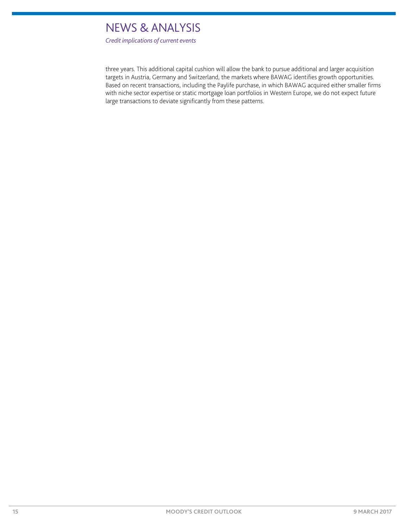*Credit implications of current events*

three years. This additional capital cushion will allow the bank to pursue additional and larger acquisition targets in Austria, Germany and Switzerland, the markets where BAWAG identifies growth opportunities. Based on recent transactions, including the Paylife purchase, in which BAWAG acquired either smaller firms with niche sector expertise or static mortgage loan portfolios in Western Europe, we do not expect future large transactions to deviate significantly from these patterns.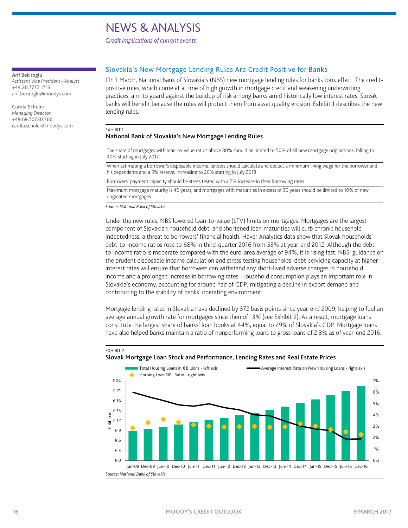*Credit implications of current events*

#### <span id="page-15-0"></span>Arif Bekiroglu

*Assistant Vice President - Analyst* +44.20.7772.1713 arif.bekiroglu@moodys.com

Carola Schuler *Managing Director* +49.69.70730.766 carola.schuler@moodys.com

#### Slovakia's New Mortgage Lending Rules Are Credit Positive for Banks

On 1 March, National Bank of Slovakia's (NBS) new mortgage lending rules for banks took effect. The creditpositive rules, which come at a time of high growth in mortgage credit and weakening underwriting practices, aim to guard against the buildup of risk among banks amid historically low interest rates. Slovak banks will benefit because the rules will protect them from asset quality erosion. Exhibit 1 describes the new lending rules.

#### EXHIBIT 1

#### National Bank of Slovakia's New Mortgage Lending Rules

The share of mortgages with loan-to-value ratios above 80% should be limited to 50% of all new mortgage originations, falling to 40% starting in July 2017.

When estimating a borrower's disposable income, lenders should calculate and deduct a minimum living wage for the borrower and his dependents and a 5% reserve, increasing to 20% starting in July 2018.

Borrowers' payment capacity should be stress tested with a 2% increase in their borrowing rates.

Maximum mortgage maturity is 40 years, and mortgages with maturities in excess of 30 years should be limited to 10% of new originated mortgages.

*Source: National Bank of Slovakia*

Under the new rules, NBS lowered loan-to-value (LTV) limits on mortgages. Mortgages are the largest component of Slovakian household debt, and shortened loan maturities will curb chronic household indebtedness, a threat to borrowers' financial health. Haver Analytics data show that Slovak households' debt-to-income ratios rose to 68% in third-quarter 2016 from 53% at year-end 2012. Although the debtto-income ratio is moderate compared with the euro-area average of 94%, it is rising fast. NBS' guidance on the prudent disposable income calculation and stress testing households' debt-servicing capacity at higher interest rates will ensure that borrowers can withstand any short-lived adverse changes in household income and a prolonged increase in borrowing rates. Household consumption plays an important role in Slovakia's economy, accounting for around half of GDP, mitigating a decline in export demand and contributing to the stability of banks' operating environment.

Mortgage lending rates in Slovakia have declined by 372 basis points since year-end 2009, helping to fuel an average annual growth rate for mortgages since then of 13% (see Exhibit 2). As a result, mortgage loans constitute the largest share of banks' loan books at 44%, equal to 29% of Slovakia's GDP. Mortgage loans have also helped banks maintain a ratio of nonperforming loans to gross loans of 2.3% as of year-end 2016.



#### EXHIBIT 2 Slovak Mortgage Loan Stock and Performance, Lending Rates and Real Estate Prices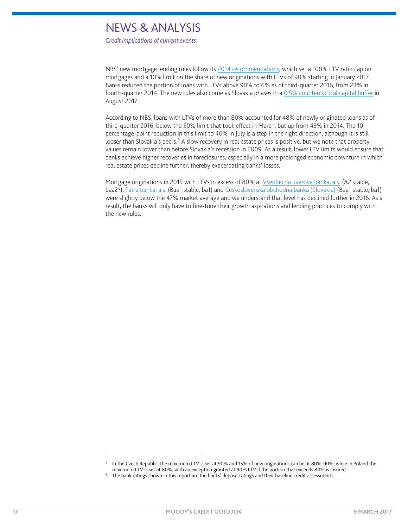*Credit implications of current events*

NBS' new mortgage lending rules follow its [2014 recommendations,](http://www.moodys.com/viewresearchdoc.aspx?docid=PBC_1001841) which set a 100% LTV ratio cap on mortgages and a 10% limit on the share of new originations with LTVs of 90% starting in January 2017. Banks reduced the portion of loans with LTVs above 90% to 6% as of third-quarter 2016, from 23% in fourth-quarter 2014. The new rules also come as Slovakia phases in a [0.5% countercyclical capital buffer](http://www.moodys.com/viewresearchdoc.aspx?docid=PBC_191397) in August 2017.

According to NBS, loans with LTVs of more than 80% accounted for 48% of newly originated loans as of third-quarter 2016, below the 50% limit that took effect in March, but up from 43% in 2014. The 10 percentage-point reduction in this limit to 40% in July is a step in the right direction, although it is still looser than Slovakia's peers.<sup>[5](#page-16-0)</sup> A slow recovery in real estate prices is positive, but we note that property values remain lower than before Slovakia's recession in 2009. As a result, lower LTV limits would ensure that banks achieve higher recoveries in foreclosures, especially in a more prolonged economic downturn in which real estate prices decline further, thereby exacerbating banks' losses.

Mortgage originations in 2015 with LTVs in excess of 80% a[t Vseobecna uverova banka, a.s.](https://www.moodys.com/credit-ratings/Vseobecna-uverova-banka-as-credit-rating-600020504) (A2 stable, baa2<sup>[6](#page-16-1)</sup>), <u>Tatra banka, a.s.</u> (Baa1 stable, ba1) and <u>Ceskoslovenska obchodna banka (Slovakia)</u> (Baa1 stable, ba1) were slightly below the 47% market average and we understand that level has declined further in 2016. As a result, the banks will only have to fine-tune their growth aspirations and lending practices to comply with the new rules.

l

In the Czech Republic, the maximum LTV is set at 90% and 15% of new originations can be at 80%-90%, while in Poland the maximum LTV is set at 80%, with an exception granted at 90% LTV if the portion that exceeds 80% is insured.

<span id="page-16-1"></span><span id="page-16-0"></span><sup>&</sup>lt;sup>6</sup> The bank ratings shown in this report are the banks' deposit ratings and their baseline credit assessments.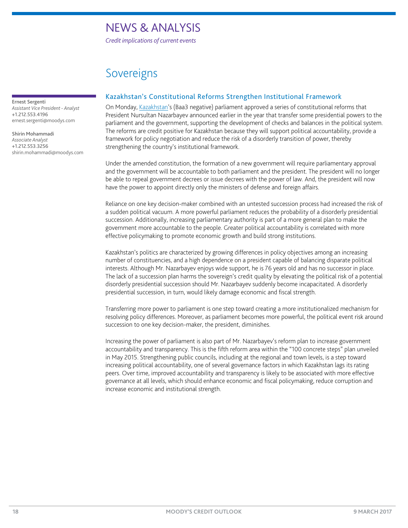*Credit implications of current events*

### Sovereigns

#### <span id="page-17-0"></span>Ernest Sergenti

*Assistant Vice President - Analyst* +1.212.553.4196 ernest.sergenti@moodys.com

Shirin Mohammadi *Associate Analyst* +1.212.553.3256 shirin.mohammadi@moodys.com

#### Kazakhstan's Constitutional Reforms Strengthen Institutional Framework

On Monday, [Kazakhstan'](https://www.moodys.com/credit-ratings/Kazakhstan-Government-of-credit-rating-600021080)s (Baa3 negative) parliament approved a series of constitutional reforms that President Nursultan Nazarbayev announced earlier in the year that transfer some presidential powers to the parliament and the government, supporting the development of checks and balances in the political system. The reforms are credit positive for Kazakhstan because they will support political accountability, provide a framework for policy negotiation and reduce the risk of a disorderly transition of power, thereby strengthening the country's institutional framework.

Under the amended constitution, the formation of a new government will require parliamentary approval and the government will be accountable to both parliament and the president. The president will no longer be able to repeal government decrees or issue decrees with the power of law. And, the president will now have the power to appoint directly only the ministers of defense and foreign affairs.

Reliance on one key decision-maker combined with an untested succession process had increased the risk of a sudden political vacuum. A more powerful parliament reduces the probability of a disorderly presidential succession. Additionally, increasing parliamentary authority is part of a more general plan to make the government more accountable to the people. Greater political accountability is correlated with more effective policymaking to promote economic growth and build strong institutions.

Kazakhstan's politics are characterized by growing differences in policy objectives among an increasing number of constituencies, and a high dependence on a president capable of balancing disparate political interests. Although Mr. Nazarbayev enjoys wide support, he is 76 years old and has no successor in place. The lack of a succession plan harms the sovereign's credit quality by elevating the political risk of a potential disorderly presidential succession should Mr. Nazarbayev suddenly become incapacitated. A disorderly presidential succession, in turn, would likely damage economic and fiscal strength.

Transferring more power to parliament is one step toward creating a more institutionalized mechanism for resolving policy differences. Moreover, as parliament becomes more powerful, the political event risk around succession to one key decision-maker, the president, diminishes.

Increasing the power of parliament is also part of Mr. Nazarbayev's reform plan to increase government accountability and transparency. This is the fifth reform area within the "100 concrete steps" plan unveiled in May 2015. Strengthening public councils, including at the regional and town levels, is a step toward increasing political accountability, one of several governance factors in which Kazakhstan lags its rating peers. Over time, improved accountability and transparency is likely to be associated with more effective governance at all levels, which should enhance economic and fiscal policymaking, reduce corruption and increase economic and institutional strength.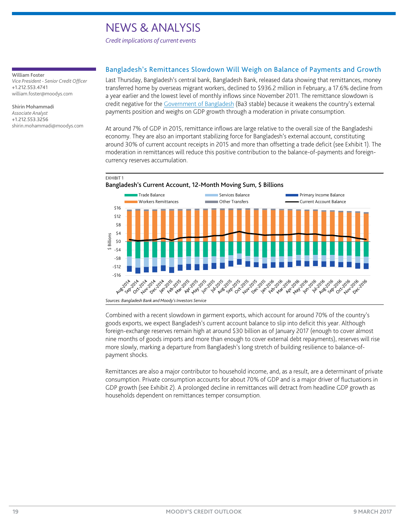*Credit implications of current events*

#### <span id="page-18-0"></span>William Foster

*Vice President - Senior Credit Officer* +1.212.553.4741 william.foster@moodys.com

Shirin Mohammadi *Associate Analyst* +1.212.553.3256 shirin.mohammadi@moodys.com

#### Bangladesh's Remittances Slowdown Will Weigh on Balance of Payments and Growth

Last Thursday, Bangladesh's central bank, Bangladesh Bank, released data showing that remittances, money transferred home by overseas migrant workers, declined to \$936.2 million in February, a 17.6% decline from a year earlier and the lowest level of monthly inflows since November 2011. The remittance slowdown is credit negative for the [Government of Bangladesh](https://www.moodys.com/credit-ratings/Bangladesh-Government-of-credit-rating-806356877?atagqt=001&viewtabid=0) (Ba3 stable) because it weakens the country's external payments position and weighs on GDP growth through a moderation in private consumption.

At around 7% of GDP in 2015, remittance inflows are large relative to the overall size of the Bangladeshi economy. They are also an important stabilizing force for Bangladesh's external account, constituting around 30% of current account receipts in 2015 and more than offsetting a trade deficit (see Exhibit 1). The moderation in remittances will reduce this positive contribution to the balance-of-payments and foreigncurrency reserves accumulation.



Combined with a recent slowdown in garment exports, which account for around 70% of the country's goods exports, we expect Bangladesh's current account balance to slip into deficit this year. Although foreign-exchange reserves remain high at around \$30 billion as of January 2017 (enough to cover almost nine months of goods imports and more than enough to cover external debt repayments), reserves will rise more slowly, marking a departure from Bangladesh's long stretch of building resilience to balance-ofpayment shocks.

Remittances are also a major contributor to household income, and, as a result, are a determinant of private consumption. Private consumption accounts for about 70% of GDP and is a major driver of fluctuations in GDP growth (see Exhibit 2). A prolonged decline in remittances will detract from headline GDP growth as households dependent on remittances temper consumption.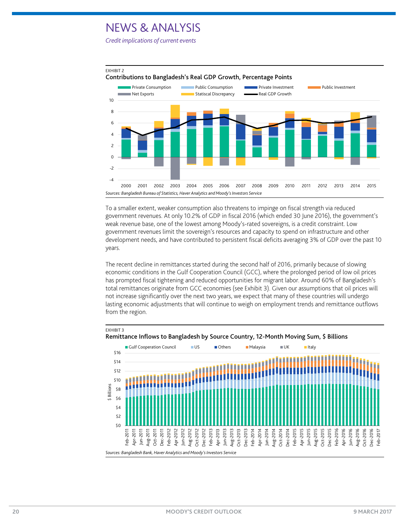*Credit implications of current events*

EXHIBIT 3



To a smaller extent, weaker consumption also threatens to impinge on fiscal strength via reduced government revenues. At only 10.2% of GDP in fiscal 2016 (which ended 30 June 2016), the government's weak revenue base, one of the lowest among Moody's-rated sovereigns, is a credit constraint. Low government revenues limit the sovereign's resources and capacity to spend on infrastructure and other development needs, and have contributed to persistent fiscal deficits averaging 3% of GDP over the past 10 years.

The recent decline in remittances started during the second half of 2016, primarily because of slowing economic conditions in the Gulf Cooperation Council (GCC), where the prolonged period of low oil prices has prompted fiscal tightening and reduced opportunities for migrant labor. Around 60% of Bangladesh's total remittances originate from GCC economies (see Exhibit 3). Given our assumptions that oil prices will not increase significantly over the next two years, we expect that many of these countries will undergo lasting economic adjustments that will continue to weigh on employment trends and remittance outflows from the region.



Remittance Inflows to Bangladesh by Source Country, 12-Month Moving Sum, \$ Billions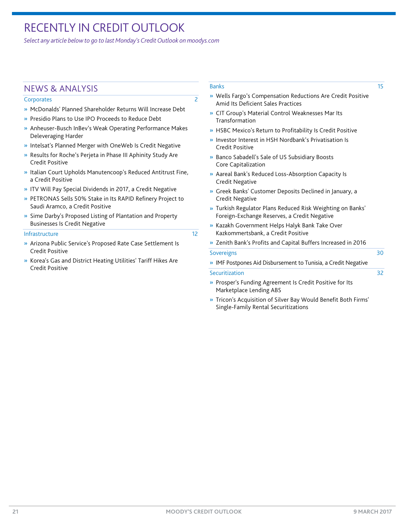### <span id="page-20-0"></span>RECENTLY IN CREDIT OUTLOOK

*Select any article below to go to last Monday's Credit Outlook o[n moodys.com](http://www.moodys.com/)*

### NEWS & ANALYSIS

#### [Corporates](http://www.moodys.com/viewresearchdoc.aspx?docid=PBC_194600) 22 and 22 and 22 and 22 and 22 and 22 and 22 and 22 and 22 and 22 and 22 and 22 and 22 and 22 and 22 and 22 and 22 and 22 and 22 and 22 and 22 and 22 and 22 and 22 and 22 and 22 and 22 and 22 and 22 and 22 and 2

- » [McDonalds' Planned Shareholder Returns Will Increase Debt](http://www.moodys.com/viewresearchdoc.aspx?docid=PBC_194600)
- » [Presidio Plans to Use IPO Proceeds to Reduce Debt](http://www.moodys.com/viewresearchdoc.aspx?docid=PBC_194600)
- » [Anheuser-Busch InBev's Weak Operating Performance Makes](http://www.moodys.com/viewresearchdoc.aspx?docid=PBC_194600)  [Deleveraging Harder](http://www.moodys.com/viewresearchdoc.aspx?docid=PBC_194600)
- » [Intelsat's Planned Merger with OneWeb Is Credit Negative](http://www.moodys.com/viewresearchdoc.aspx?docid=PBC_194600)
- » [Results for Roche's Perjeta in Phase III Aphinity Study Are](http://www.moodys.com/viewresearchdoc.aspx?docid=PBC_194600)  [Credit Positive](http://www.moodys.com/viewresearchdoc.aspx?docid=PBC_194600)
- » [Italian Court Upholds Manutencoop's Reduced Antitrust Fine,](http://www.moodys.com/viewresearchdoc.aspx?docid=PBC_194600)  [a Credit Positive](http://www.moodys.com/viewresearchdoc.aspx?docid=PBC_194600)
- » [ITV Will Pay Special Dividends in 2017, a Credit Negative](http://www.moodys.com/viewresearchdoc.aspx?docid=PBC_194600)
- » [PETRONAS Sells 50% Stake in Its RAPID Refinery Project to](http://www.moodys.com/viewresearchdoc.aspx?docid=PBC_194600)  [Saudi Aramco, a Credit Positive](http://www.moodys.com/viewresearchdoc.aspx?docid=PBC_194600)
- » [Sime Darby's Proposed Listing of Plantation and Property](http://www.moodys.com/viewresearchdoc.aspx?docid=PBC_194600)  [Businesses Is Credit Negative](http://www.moodys.com/viewresearchdoc.aspx?docid=PBC_194600)

#### [Infrastructure](http://www.moodys.com/viewresearchdoc.aspx?docid=PBC_194600) 12

- » [Arizona Public Service's Proposed Rate Case Settlement Is](http://www.moodys.com/viewresearchdoc.aspx?docid=PBC_194600)  [Credit Positive](http://www.moodys.com/viewresearchdoc.aspx?docid=PBC_194600)
- » [Korea's Gas and District Heating Utilities' Tariff Hikes Are](http://www.moodys.com/viewresearchdoc.aspx?docid=PBC_194600)  [Credit Positive](http://www.moodys.com/viewresearchdoc.aspx?docid=PBC_194600)

#### [Banks](http://www.moodys.com/viewresearchdoc.aspx?docid=PBC_194600) **15**

- » [Wells Fargo's Compensation Reductions Are Credit Positive](http://www.moodys.com/viewresearchdoc.aspx?docid=PBC_194600)  [Amid Its Deficient Sales Practices](http://www.moodys.com/viewresearchdoc.aspx?docid=PBC_194600)
- » [CIT Group's Material Control Weaknesses Mar Its](http://www.moodys.com/viewresearchdoc.aspx?docid=PBC_194600)  [Transformation](http://www.moodys.com/viewresearchdoc.aspx?docid=PBC_194600)
- » [HSBC Mexico's Return to Profitability Is Credit Positive](http://www.moodys.com/viewresearchdoc.aspx?docid=PBC_194600)
- » [Investor Interest in HSH Nordbank's Privatisation Is](http://www.moodys.com/viewresearchdoc.aspx?docid=PBC_194600)  [Credit Positive](http://www.moodys.com/viewresearchdoc.aspx?docid=PBC_194600)
- » [Banco Sabadell's Sale of US Subsidiary Boosts](http://www.moodys.com/viewresearchdoc.aspx?docid=PBC_194600)  [Core Capitalization](http://www.moodys.com/viewresearchdoc.aspx?docid=PBC_194600)
- » [Aareal Bank's Reduced Loss-Absorption Capacity Is](http://www.moodys.com/viewresearchdoc.aspx?docid=PBC_194600)  [Credit Negative](http://www.moodys.com/viewresearchdoc.aspx?docid=PBC_194600)
- » [Greek Banks' Customer Deposits Declined in January, a](http://www.moodys.com/viewresearchdoc.aspx?docid=PBC_194600)  [Credit Negative](http://www.moodys.com/viewresearchdoc.aspx?docid=PBC_194600)
- » [Turkish Regulator Plans Reduced Risk Weighting on Banks'](http://www.moodys.com/viewresearchdoc.aspx?docid=PBC_194600)  [Foreign-Exchange Reserves, a Credit Negative](http://www.moodys.com/viewresearchdoc.aspx?docid=PBC_194600)
- » [Kazakh Government Helps Halyk Bank Take Over](http://www.moodys.com/viewresearchdoc.aspx?docid=PBC_194600)  [Kazkommertsbank, a Credit Positive](http://www.moodys.com/viewresearchdoc.aspx?docid=PBC_194600)
- » [Zenith Bank's Profits and Capital Buffers Increased in 2016](http://www.moodys.com/viewresearchdoc.aspx?docid=PBC_194600)

#### [Sovereigns](http://www.moodys.com/viewresearchdoc.aspx?docid=PBC_194600) 30

- » [IMF Postpones Aid Disbursement to Tunisia, a Credit Negative](http://www.moodys.com/viewresearchdoc.aspx?docid=PBC_194600) [Securitization](http://www.moodys.com/viewresearchdoc.aspx?docid=PBC_194600) 32
	- » [Prosper's Funding Agreement Is Credit Positive for Its](http://www.moodys.com/viewresearchdoc.aspx?docid=PBC_194600)  [Marketplace Lending ABS](http://www.moodys.com/viewresearchdoc.aspx?docid=PBC_194600)
	- » [Tricon's Acquisition of Silver Bay Would Benefit Both Firms'](http://www.moodys.com/viewresearchdoc.aspx?docid=PBC_194600)  [Single-Family Rental Securitizations](http://www.moodys.com/viewresearchdoc.aspx?docid=PBC_194600)